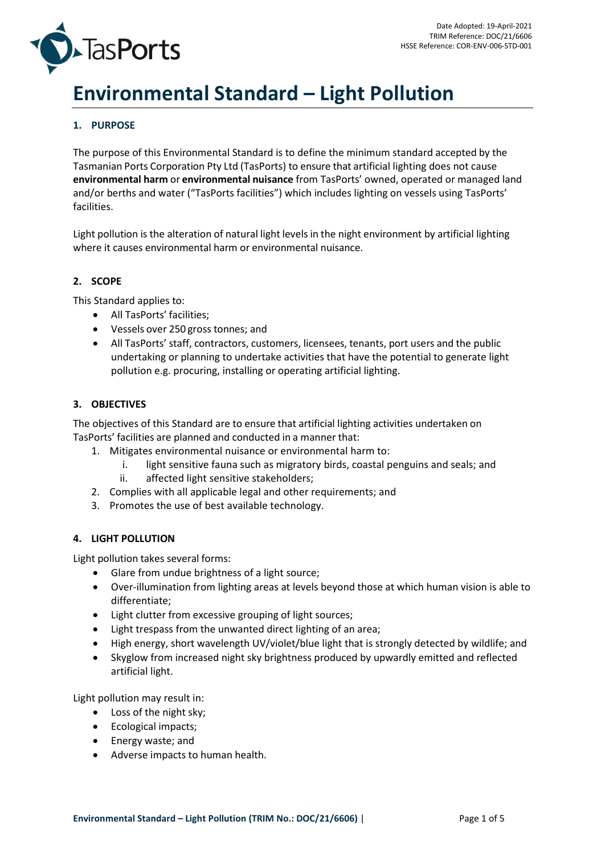



# **Environmental Standard – Light Pollution**

# **1. PURPOSE**

The purpose of this Environmental Standard is to define the minimum standard accepted by the Tasmanian Ports Corporation Pty Ltd (TasPorts) to ensure that artificial lighting does not cause **environmental harm** or **environmental nuisance** from TasPorts' owned, operated or managed land and/or berths and water ("TasPorts facilities") which includes lighting on vessels using TasPorts' facilities.

Light pollution is the alteration of natural light levels in the night environment by artificial lighting where it causes environmental harm or environmental nuisance.

## **2. SCOPE**

This Standard applies to:

- All TasPorts' facilities;
- Vessels over 250 gross tonnes; and
- All TasPorts' staff, contractors, customers, licensees, tenants, port users and the public undertaking or planning to undertake activities that have the potential to generate light pollution e.g. procuring, installing or operating artificial lighting.

## **3. OBJECTIVES**

The objectives of this Standard are to ensure that artificial lighting activities undertaken on TasPorts' facilities are planned and conducted in a manner that:

- 1. Mitigates environmental nuisance or environmental harm to:
	- i. light sensitive fauna such as migratory birds, coastal penguins and seals; and
	- ii. affected light sensitive stakeholders;
- 2. Complies with all applicable legal and other requirements; and
- 3. Promotes the use of best available technology.

## **4. LIGHT POLLUTION**

Light pollution takes several forms:

- Glare from undue brightness of a light source;
- Over-illumination from lighting areas at levels beyond those at which human vision is able to differentiate;
- Light clutter from excessive grouping of light sources;
- Light trespass from the unwanted direct lighting of an area;
- High energy, short wavelength UV/violet/blue light that is strongly detected by wildlife; and
- Skyglow from increased night sky brightness produced by upwardly emitted and reflected artificial light.

Light pollution may result in:

- Loss of the night sky;
- Ecological impacts;
- Energy waste; and
- Adverse impacts to human health.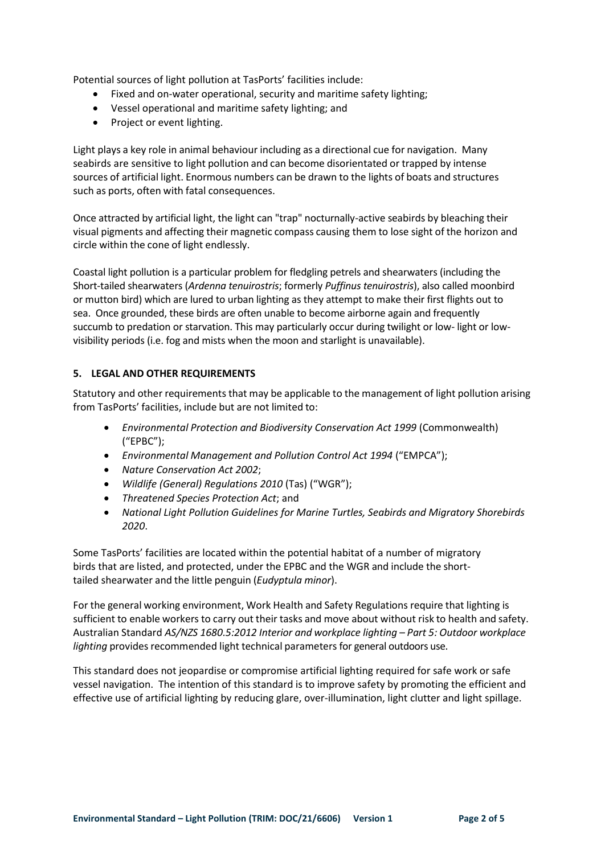Potential sources of light pollution at TasPorts' facilities include:

- Fixed and on-water operational, security and maritime safety lighting;
- Vessel operational and maritime safety lighting; and
- Project or event lighting.

Light plays a key role in animal behaviour including as a directional cue for navigation. Many seabirds are sensitive to light pollution and can become disorientated or trapped by intense sources of artificial light. Enormous numbers can be drawn to the lights of boats and structures such as ports, often with fatal consequences.

Once attracted by artificial light, the light can "trap" nocturnally-active seabirds by bleaching their visual pigments and affecting their magnetic compass causing them to lose sight of the horizon and circle within the cone of light endlessly.

Coastal light pollution is a particular problem for fledgling petrels and shearwaters (including the Short-tailed shearwaters (*Ardenna tenuirostris*; formerly *Puffinus tenuirostris*), also called moonbird or mutton bird) which are lured to urban lighting as they attempt to make their first flights out to sea. Once grounded, these birds are often unable to become airborne again and frequently succumb to predation or starvation. This may particularly occur during twilight or low- light or lowvisibility periods (i.e. fog and mists when the moon and starlight is unavailable).

# **5. LEGAL AND OTHER REQUIREMENTS**

Statutory and other requirements that may be applicable to the management of light pollution arising from TasPorts' facilities, include but are not limited to:

- *Environmental Protection and Biodiversity Conservation Act 1999* (Commonwealth) ("EPBC");
- *Environmental Management and Pollution Control Act 1994* ("EMPCA");
- *Nature Conservation Act 2002*;
- *Wildlife (General) Regulations 2010* (Tas) ("WGR");
- *Threatened Species Protection Act*; and
- *National Light Pollution Guidelines for Marine Turtles, Seabirds and Migratory Shorebirds 2020*.

Some TasPorts' facilities are located within the potential habitat of a number of migratory birds that are listed, and protected, under the EPBC and the WGR and include the shorttailed shearwater and the little penguin (*Eudyptula minor*).

For the general working environment, Work Health and Safety Regulations require that lighting is sufficient to enable workers to carry out their tasks and move about without risk to health and safety. Australian Standard *AS/NZS 1680.5:2012 Interior and workplace lighting – Part 5: Outdoor workplace lighting* provides recommended light technical parameters for general outdoors use.

This standard does not jeopardise or compromise artificial lighting required for safe work or safe vessel navigation. The intention of this standard is to improve safety by promoting the efficient and effective use of artificial lighting by reducing glare, over-illumination, light clutter and light spillage.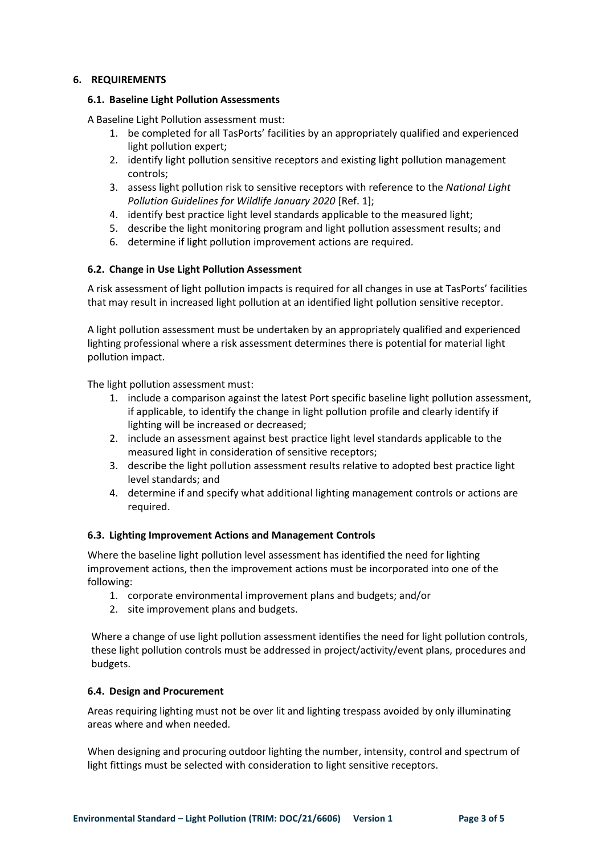## **6. REQUIREMENTS**

#### **6.1. Baseline Light Pollution Assessments**

A Baseline Light Pollution assessment must:

- 1. be completed for all TasPorts' facilities by an appropriately qualified and experienced light pollution expert;
- 2. identify light pollution sensitive receptors and existing light pollution management controls;
- 3. assess light pollution risk to sensitive receptors with reference to the *National Light Pollution Guidelines for Wildlife January 2020* [Ref. 1];
- 4. identify best practice light level standards applicable to the measured light;
- 5. describe the light monitoring program and light pollution assessment results; and
- 6. determine if light pollution improvement actions are required.

## **6.2. Change in Use Light Pollution Assessment**

A risk assessment of light pollution impacts is required for all changes in use at TasPorts' facilities that may result in increased light pollution at an identified light pollution sensitive receptor.

A light pollution assessment must be undertaken by an appropriately qualified and experienced lighting professional where a risk assessment determines there is potential for material light pollution impact.

The light pollution assessment must:

- 1. include a comparison against the latest Port specific baseline light pollution assessment, if applicable, to identify the change in light pollution profile and clearly identify if lighting will be increased or decreased;
- 2. include an assessment against best practice light level standards applicable to the measured light in consideration of sensitive receptors;
- 3. describe the light pollution assessment results relative to adopted best practice light level standards; and
- 4. determine if and specify what additional lighting management controls or actions are required.

## **6.3. Lighting Improvement Actions and Management Controls**

Where the baseline light pollution level assessment has identified the need for lighting improvement actions, then the improvement actions must be incorporated into one of the following:

- 1. corporate environmental improvement plans and budgets; and/or
- 2. site improvement plans and budgets.

Where a change of use light pollution assessment identifies the need for light pollution controls, these light pollution controls must be addressed in project/activity/event plans, procedures and budgets.

#### **6.4. Design and Procurement**

Areas requiring lighting must not be over lit and lighting trespass avoided by only illuminating areas where and when needed.

When designing and procuring outdoor lighting the number, intensity, control and spectrum of light fittings must be selected with consideration to light sensitive receptors.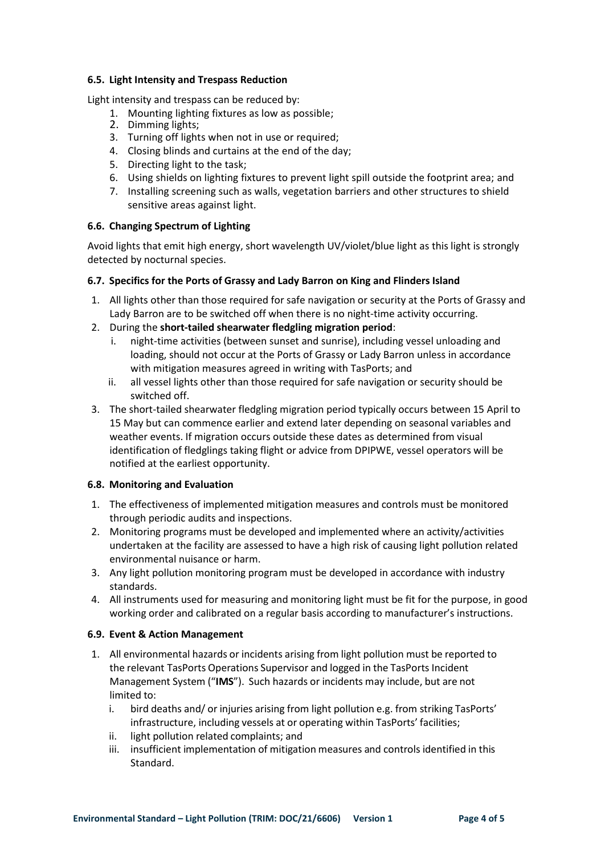#### **6.5. Light Intensity and Trespass Reduction**

Light intensity and trespass can be reduced by:

- 1. Mounting lighting fixtures as low as possible;
- 2. Dimming lights;
- 3. Turning off lights when not in use or required;
- 4. Closing blinds and curtains at the end of the day;
- 5. Directing light to the task;
- 6. Using shields on lighting fixtures to prevent light spill outside the footprint area; and
- 7. Installing screening such as walls, vegetation barriers and other structures to shield sensitive areas against light.

# **6.6. Changing Spectrum of Lighting**

Avoid lights that emit high energy, short wavelength UV/violet/blue light as this light is strongly detected by nocturnal species.

## **6.7. Specifics for the Ports of Grassy and Lady Barron on King and Flinders Island**

- 1. All lights other than those required for safe navigation or security at the Ports of Grassy and Lady Barron are to be switched off when there is no night-time activity occurring.
- 2. During the **short-tailed shearwater fledgling migration period**:
	- i. night-time activities (between sunset and sunrise), including vessel unloading and loading, should not occur at the Ports of Grassy or Lady Barron unless in accordance with mitigation measures agreed in writing with TasPorts; and
	- ii. all vessel lights other than those required for safe navigation or security should be switched off.
- 3. The short-tailed shearwater fledgling migration period typically occurs between 15 April to 15 May but can commence earlier and extend later depending on seasonal variables and weather events. If migration occurs outside these dates as determined from visual identification of fledglings taking flight or advice from DPIPWE, vessel operators will be notified at the earliest opportunity.

## **6.8. Monitoring and Evaluation**

- 1. The effectiveness of implemented mitigation measures and controls must be monitored through periodic audits and inspections.
- 2. Monitoring programs must be developed and implemented where an activity/activities undertaken at the facility are assessed to have a high risk of causing light pollution related environmental nuisance or harm.
- 3. Any light pollution monitoring program must be developed in accordance with industry standards.
- 4. All instruments used for measuring and monitoring light must be fit for the purpose, in good working order and calibrated on a regular basis according to manufacturer's instructions.

## **6.9. Event & Action Management**

- 1. All environmental hazards or incidents arising from light pollution must be reported to the relevant TasPorts Operations Supervisor and logged in the TasPorts Incident Management System ("**IMS**"). Such hazards or incidents may include, but are not limited to:
	- i. bird deaths and/ or injuries arising from light pollution e.g. from striking TasPorts' infrastructure, including vessels at or operating within TasPorts' facilities;
	- ii. light pollution related complaints; and
	- iii. insufficient implementation of mitigation measures and controls identified in this Standard.